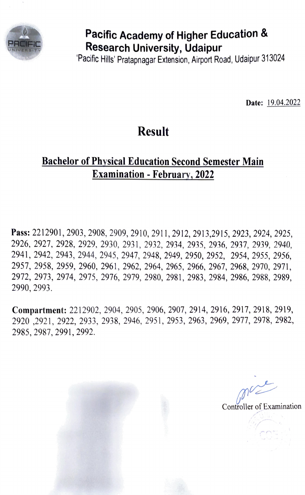

# Pacific Academy of Higher Education & Research University, Udaipur

Pacitic Hills' Pratapnagar Extension, Airport Road, Udaipur 313024

Date: 19.04.2022

#### Result

#### Bachelor of Physical Education Second Semester Main Examination- February., 2022

Pass: 2212901, 2903, 2908, 2909, 2910, 2911, 2912, 2913,2915, 2923, 2924, 2925, 2926, 2927, 2928, 2929, 2930, 2931, 2932, 2934, 2935, 2936, 2937, 2939, 2940, 2941, 2942, 2943, 2944, 2945, 2947, 2948, 2949, 2950, 2952, 2954, 2955, 2956, 2957, 2958, 2959, 2960, 2961, 2962, 2964, 2965, 2966, 2967, 2968, 2970, 2971, 2972, 2973, 2974, 2975, 2976, 2979, 2980, 2981, 2983, 2984, 2986, 2988, 2989, 2990, 2993.

Compartment: 2212902, 2904, 2905, 2906, 2907, 2914, 2916, 2917, 2918, 2919, 2920 ,2921, 2922, 2933, 2938, 2946, 2951, 2953, 2963, 2969, 2977, 2978, 2982, 2985, 2987, 2991, 2992.

Controller of Examination